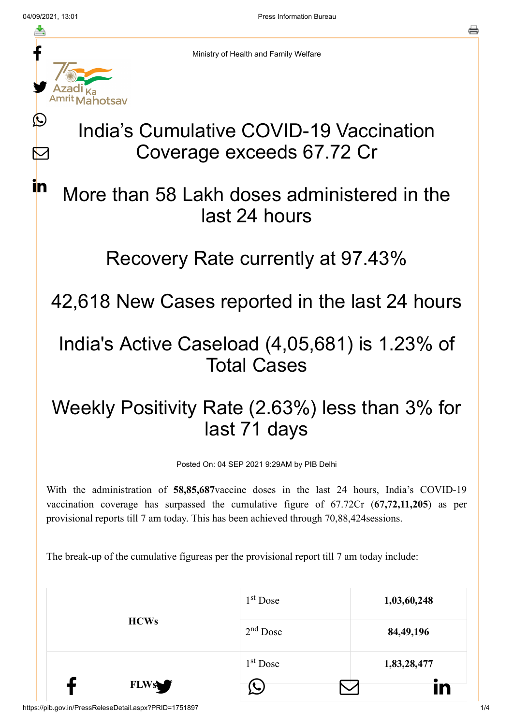ł

≛

y.

Mahotsay

 $\bigcirc$ 

 $\sum$ 

**in** 

른

Ministry of Health and Family Welfare

# India's Cumulative COVID-19 Vaccination Coverage exceeds 67.72 Cr

# More than 58 Lakh doses administered in the last 24 hours

#### Recovery Rate currently at 97.43%

42,618 New Cases reported in the last 24 hours

## India's Active Caseload (4,05,681) is 1.23% of Total Cases

# Weekly Positivity Rate (2.63%) less than 3% for last 71 days

Posted On: 04 SEP 2021 9:29AM by PIB Delhi

With the administration of **58,85,687**vaccine doses in the last 24 hours, India's COVID-19 vaccination coverage has surpassed the cumulative figure of 67.72Cr (**67,72,11,205**) as per provisional reports till 7 am today. This has been achieved through 70,88,424sessions.

The break-up of the cumulative figureas per the provisional report till 7 am today include:

|             | $1st$ Dose | 1,03,60,248 |
|-------------|------------|-------------|
| <b>HCWs</b> | $2nd$ Dose | 84, 49, 196 |
|             | $1st$ Dose | 1,83,28,477 |
| <b>FLWs</b> |            | Ĭn          |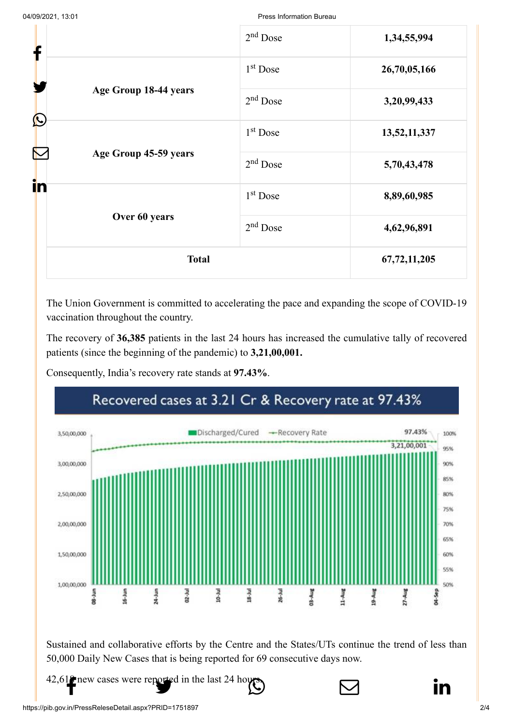| f          |                       | $2nd$ Dose           | 1,34,55,994  |
|------------|-----------------------|----------------------|--------------|
|            |                       | $1st$ Dose           | 26,70,05,166 |
|            | Age Group 18-44 years | $2nd$ Dose           | 3,20,99,433  |
| $\bigcirc$ |                       | $1st$ Dose           | 13,52,11,337 |
|            | Age Group 45-59 years | $2nd$ Dose           | 5,70,43,478  |
| in         |                       | 1 <sup>st</sup> Dose | 8,89,60,985  |
|            | Over 60 years         | $2nd$ Dose           | 4,62,96,891  |
|            | <b>Total</b>          |                      | 67,72,11,205 |

The Union Government is committed to accelerating the pace and expanding the scope of COVID-19 vaccination throughout the country.

The recovery of **36,385** patients in the last 24 hours has increased the cumulative tally of recovered patients (since the beginning of the pandemic) to **3,21,00,001.**

Consequently, India's recovery rate stands at **97.43%**.



Sustained and collaborative efforts by the Centre and the States/UTs continue the trend of less than 50,000 Daily New Cases that is being reported for 69 consecutive days now.

[42,618 new cases](http://www.facebook.com/share.php?u=https://pib.gov.in/PressReleasePage.aspx?PRID=1751897) [were reported in the l](https://twitter.com/intent/tweet?url=https://pib.gov.in/PressReleasePage.aspx?PRID=1751897&text=India%E2%80%99s%20Cumulative%20COVID-19%20Vaccination%20Coverage%20exceeds%2067.72%20Cr)[ast 24 hours.](https://api.whatsapp.com/send?text=https://pib.gov.in/PressReleasePage.aspx?PRID=1751897)

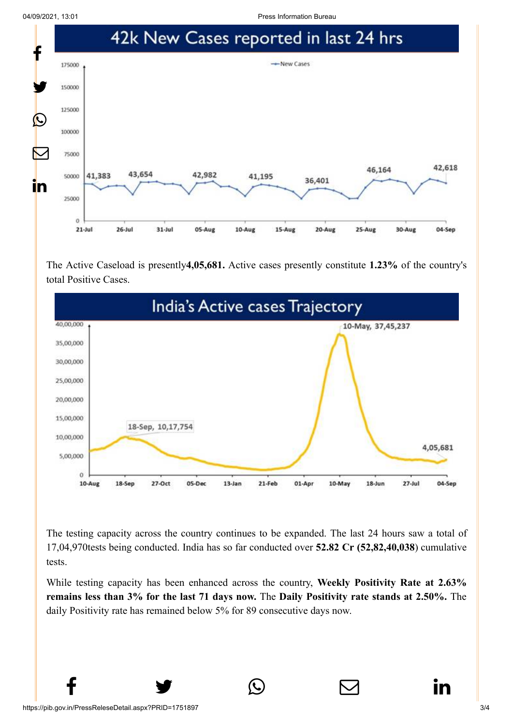04/09/2021, 13:01 Press Information Bureau



The Active Caseload is presently**4,05,681.** Active cases presently constitute **1.23%** of the country's total Positive Cases.



The testing capacity across the country continues to be expanded. The last 24 hours saw a total of 17,04,970tests being conducted. India has so far conducted over **52.82 Cr (52,82,40,038**) cumulative tests.

While testing capacity has been enhanced across the country, **Weekly Positivity Rate at 2.63% remains less than 3% for the last 71 days now.** The **Daily Positivity rate stands at 2.50%.** The daily Positivity rate has remained below 5% for 89 consecutive days now.

 $f \qquad \qquad \blacksquare$